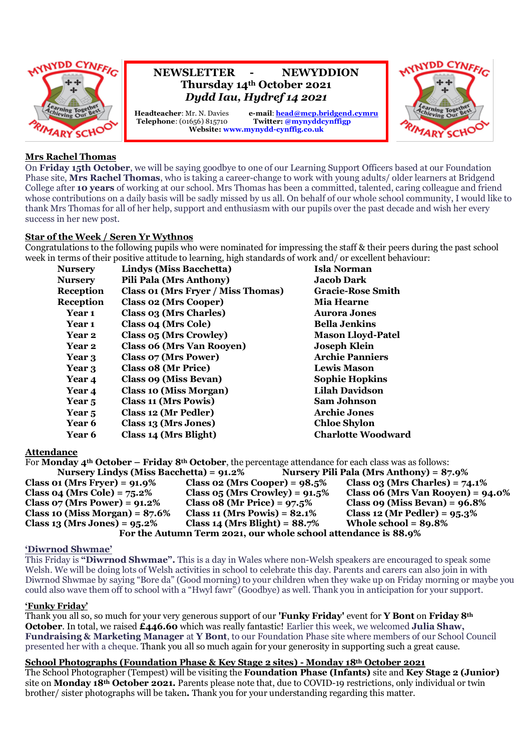

## **NEWSLETTER - NEWYDDION Thursday 14th October 2021** *Dydd Iau, Hydref 14 2021*

**Headteacher**: Mr. N. Davies <br> **e-mail**: **<u>[head@mcp.bridgend.cymru](mailto:head@mcp.bridgend.cymru)</u>**<br> **Telephone**: (01656) 815710 <br> **Twitter:** @mynyddcynffigp **Twitter:** @mynyddcynffigp **Website: www.mynydd-cynffig.co.uk**



### **Mrs Rachel Thomas**

On **Friday 15th October**, we will be saying goodbye to one of our Learning Support Officers based at our Foundation Phase site, **Mrs Rachel Thomas**, who is taking a career-change to work with young adults/ older learners at Bridgend College after **10 years** of working at our school. Mrs Thomas has been a committed, talented, caring colleague and friend whose contributions on a daily basis will be sadly missed by us all. On behalf of our whole school community, I would like to thank Mrs Thomas for all of her help, support and enthusiasm with our pupils over the past decade and wish her every success in her new post.

#### **Star of the Week / Seren Yr Wythnos**

Congratulations to the following pupils who were nominated for impressing the staff & their peers during the past school week in terms of their positive attitude to learning, high standards of work and/ or excellent behaviour:

| <b>Nursery</b>   | Lindys (Miss Bacchetta)            | <b>Isla Norman</b>        |
|------------------|------------------------------------|---------------------------|
| <b>Nurserv</b>   | <b>Pili Pala (Mrs Anthony)</b>     | <b>Jacob Dark</b>         |
| <b>Reception</b> | Class 01 (Mrs Fryer / Miss Thomas) | <b>Gracie-Rose Smith</b>  |
| Reception        | <b>Class 02 (Mrs Cooper)</b>       | <b>Mia Hearne</b>         |
| Year 1           | Class 03 (Mrs Charles)             | <b>Aurora Jones</b>       |
| Year 1           | Class 04 (Mrs Cole)                | <b>Bella Jenkins</b>      |
| <b>Year 2</b>    | Class 05 (Mrs Crowley)             | <b>Mason Lloyd-Patel</b>  |
| Year 2           | <b>Class 06 (Mrs Van Rooyen)</b>   | <b>Joseph Klein</b>       |
| Year 3           | <b>Class 07 (Mrs Power)</b>        | <b>Archie Panniers</b>    |
| Year 3           | Class 08 (Mr Price)                | <b>Lewis Mason</b>        |
| Year 4           | Class 09 (Miss Bevan)              | <b>Sophie Hopkins</b>     |
| Year 4           | <b>Class 10 (Miss Morgan)</b>      | <b>Lilah Davidson</b>     |
| Year 5           | <b>Class 11 (Mrs Powis)</b>        | <b>Sam Johnson</b>        |
| Year 5           | Class 12 (Mr Pedler)               | <b>Archie Jones</b>       |
| <b>Year 6</b>    | Class 13 (Mrs Jones)               | <b>Chloe Shylon</b>       |
| <b>Year 6</b>    | Class 14 (Mrs Blight)              | <b>Charlotte Woodward</b> |

#### **Attendance**

For **Monday 4th October – Friday 8th October**, the percentage attendance for each class was as follows: **Nursery Lindys (Miss Bacchetta) = 91.2% Nursery Pili Pala (Mrs Anthony) = 87.9% Class 01 (Mrs Fryer) = 91.9% Class 02 (Mrs Cooper) = 98.5% Class 03 (Mrs Charles) = 74.1% Class 04 (Mrs Cole) = 75.2% Class 05 (Mrs Crowley) = 91.5% Class 06 (Mrs Van Rooyen) = 94.0% Class 07 (Mrs Power) = 91.2% Class 08 (Mr Price) = 97.5% Class 09 (Miss Bevan) = 96.8% Class 10 (Miss Morgan) = 87.6% Class 11 (Mrs Powis) = 82.1% Class 12 (Mr Pedler) = 95.3% Class 13 (Mrs Jones) = 95.2% Class 14 (Mrs Blight) = 88.7% Whole school = 89.8% For the Autumn Term 2021, our whole school attendance is 88.9%**

#### **'Diwrnod Shwmae'**

This Friday is **"Diwrnod Shwmae".** This is a day in Wales where non-Welsh speakers are encouraged to speak some Welsh. We will be doing lots of Welsh activities in school to celebrate this day. Parents and carers can also join in with Diwrnod Shwmae by saying "Bore da" (Good morning) to your children when they wake up on Friday morning or maybe you could also wave them off to school with a "Hwyl fawr" (Goodbye) as well. Thank you in anticipation for your support.

#### **'Funky Friday'**

Thank you all so, so much for your very generous support of our **'Funky Friday'** event for **Y Bont** on **Friday 8th October**. In total, we raised **£446.60** which was really fantastic! Earlier this week, we welcomed **Julia Shaw, Fundraising & Marketing Manager** at **Y Bont**, to our Foundation Phase site where members of our School Council presented her with a cheque. Thank you all so much again for your generosity in supporting such a great cause.

#### **School Photographs (Foundation Phase & Key Stage 2 sites) - Monday 18th October 2021**

The School Photographer (Tempest) will be visiting the **Foundation Phase (Infants)** site and **Key Stage 2 (Junior)** site on **Monday 18th October 2021.** Parents please note that, due to COVID-19 restrictions, only individual or twin brother/ sister photographs will be taken**.** Thank you for your understanding regarding this matter.